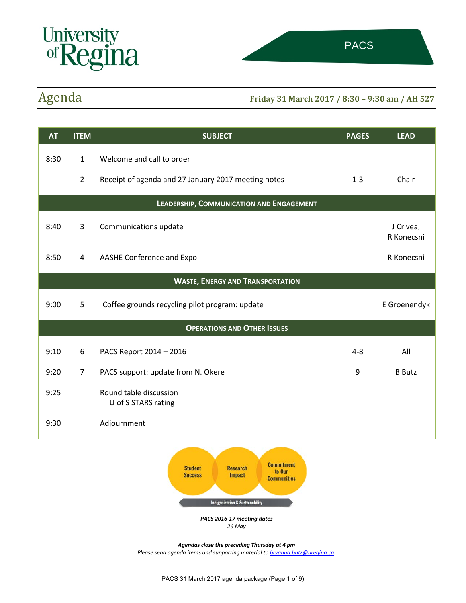

# Agenda **Friday 31 March 2017 / 8:30 – 9:30 am / AH 527**

| <b>AT</b>                                | <b>ITEM</b>    | <b>SUBJECT</b>                                      | <b>PAGES</b> | <b>LEAD</b>             |
|------------------------------------------|----------------|-----------------------------------------------------|--------------|-------------------------|
| 8:30                                     | $\mathbf{1}$   | Welcome and call to order                           |              |                         |
|                                          | $\overline{2}$ | Receipt of agenda and 27 January 2017 meeting notes | $1 - 3$      | Chair                   |
| LEADERSHIP, COMMUNICATION AND ENGAGEMENT |                |                                                     |              |                         |
| 8:40                                     | 3              | Communications update                               |              | J Crivea,<br>R Konecsni |
| 8:50                                     | 4              | AASHE Conference and Expo                           |              | R Konecsni              |
| <b>WASTE, ENERGY AND TRANSPORTATION</b>  |                |                                                     |              |                         |
| 9:00                                     | 5              | Coffee grounds recycling pilot program: update      |              | E Groenendyk            |
| <b>OPERATIONS AND OTHER ISSUES</b>       |                |                                                     |              |                         |
| 9:10                                     | 6              | PACS Report 2014 - 2016                             | $4 - 8$      | All                     |
| 9:20                                     | $\overline{7}$ | PACS support: update from N. Okere                  | 9            | <b>B</b> Butz           |
| 9:25                                     |                | Round table discussion<br>U of S STARS rating       |              |                         |
| 9:30                                     |                | Adjournment                                         |              |                         |
|                                          |                | <b>Commitment</b><br><b>Characteristic</b>          |              |                         |



*PACS 2016-17 meeting dates 26 May*

*Agendas close the preceding Thursday at 4 pm Please send agenda items and supporting material to [bryanna.butz@uregina.ca.](mailto:bryanna.butz@uregina.ca)*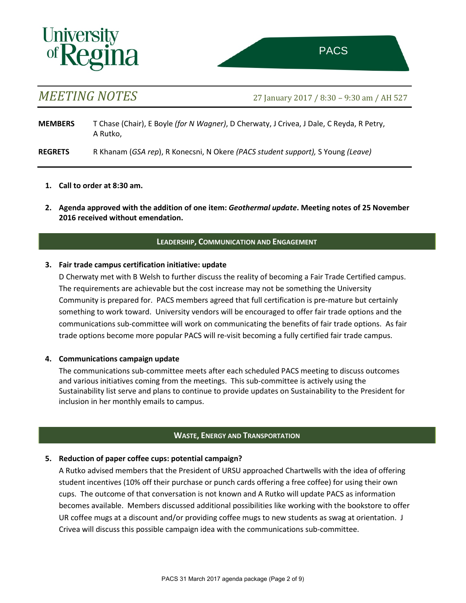# **Univers**

*MEETING NOTES* 27 January 2017 / 8:30 – 9:30 am / AH 527

**MEMBERS** T Chase (Chair), E Boyle *(for N Wagner)*, D Cherwaty, J Crivea, J Dale, C Reyda, R Petry, A Rutko,

**REGRETS** R Khanam (*GSA rep*), R Konecsni, N Okere *(PACS student support),* S Young *(Leave)*

- **1. Call to order at 8:30 am.**
- **2. Agenda approved with the addition of one item:** *Geothermal update***. Meeting notes of 25 November 2016 received without emendation.**

# **LEADERSHIP, COMMUNICATION AND ENGAGEMENT**

# **3. Fair trade campus certification initiative: update**

D Cherwaty met with B Welsh to further discuss the reality of becoming a Fair Trade Certified campus. The requirements are achievable but the cost increase may not be something the University Community is prepared for. PACS members agreed that full certification is pre-mature but certainly something to work toward. University vendors will be encouraged to offer fair trade options and the communications sub-committee will work on communicating the benefits of fair trade options. As fair trade options become more popular PACS will re-visit becoming a fully certified fair trade campus.

# **4. Communications campaign update**

The communications sub-committee meets after each scheduled PACS meeting to discuss outcomes and various initiatives coming from the meetings. This sub-committee is actively using the Sustainability list serve and plans to continue to provide updates on Sustainability to the President for inclusion in her monthly emails to campus.

# **WASTE, ENERGY AND TRANSPORTATION**

# **5. Reduction of paper coffee cups: potential campaign?**

A Rutko advised members that the President of URSU approached Chartwells with the idea of offering student incentives (10% off their purchase or punch cards offering a free coffee) for using their own cups. The outcome of that conversation is not known and A Rutko will update PACS as information becomes available. Members discussed additional possibilities like working with the bookstore to offer UR coffee mugs at a discount and/or providing coffee mugs to new students as swag at orientation. J Crivea will discuss this possible campaign idea with the communications sub-committee.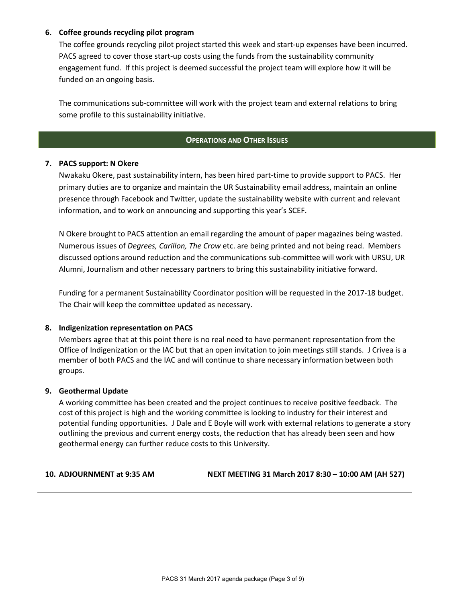# **6. Coffee grounds recycling pilot program**

The coffee grounds recycling pilot project started this week and start-up expenses have been incurred. PACS agreed to cover those start-up costs using the funds from the sustainability community engagement fund. If this project is deemed successful the project team will explore how it will be funded on an ongoing basis.

The communications sub-committee will work with the project team and external relations to bring some profile to this sustainability initiative.

# **OPERATIONS AND OTHER ISSUES**

# **7. PACS support: N Okere**

Nwakaku Okere, past sustainability intern, has been hired part-time to provide support to PACS. Her primary duties are to organize and maintain the UR Sustainability email address, maintain an online presence through Facebook and Twitter, update the sustainability website with current and relevant information, and to work on announcing and supporting this year's SCEF.

N Okere brought to PACS attention an email regarding the amount of paper magazines being wasted. Numerous issues of *Degrees, Carillon, The Crow* etc. are being printed and not being read. Members discussed options around reduction and the communications sub-committee will work with URSU, UR Alumni, Journalism and other necessary partners to bring this sustainability initiative forward.

Funding for a permanent Sustainability Coordinator position will be requested in the 2017-18 budget. The Chair will keep the committee updated as necessary.

## **8. Indigenization representation on PACS**

Members agree that at this point there is no real need to have permanent representation from the Office of Indigenization or the IAC but that an open invitation to join meetings still stands. J Crivea is a member of both PACS and the IAC and will continue to share necessary information between both groups.

## **9. Geothermal Update**

A working committee has been created and the project continues to receive positive feedback. The cost of this project is high and the working committee is looking to industry for their interest and potential funding opportunities. J Dale and E Boyle will work with external relations to generate a story outlining the previous and current energy costs, the reduction that has already been seen and how geothermal energy can further reduce costs to this University.

**10. ADJOURNMENT at 9:35 AM NEXT MEETING 31 March 2017 8:30 – 10:00 AM (AH 527)**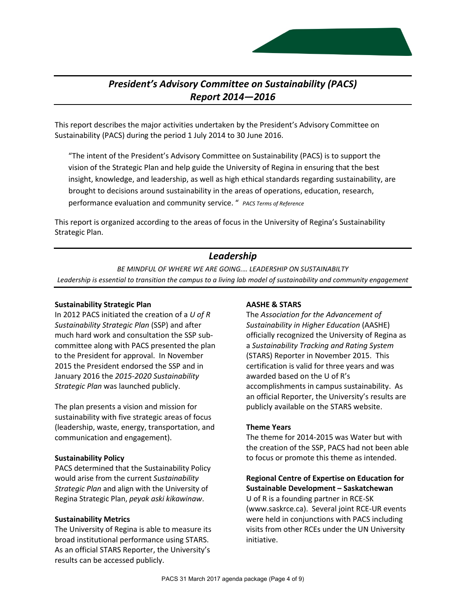# *President's Advisory Committee on Sustainability (PACS) Report 2014—2016*

This report describes the major activities undertaken by the President's Advisory Committee on Sustainability (PACS) during the period 1 July 2014 to 30 June 2016.

"The intent of the President's Advisory Committee on Sustainability (PACS) is to support the vision of the Strategic Plan and help guide the University of Regina in ensuring that the best insight, knowledge, and leadership, as well as high ethical standards regarding sustainability, are brought to decisions around sustainability in the areas of operations, education, research, performance evaluation and community service. " *PACS Terms of Reference*

This report is organized according to the areas of focus in the University of Regina's Sustainability Strategic Plan.

# *Leadership*

*BE MINDFUL OF WHERE WE ARE GOING.… LEADERSHIP ON SUSTAINABILTY Leadership is essential to transition the campus to a living lab model of sustainability and community engagement*

# **Sustainability Strategic Plan**

In 2012 PACS initiated the creation of a *U of R Sustainability Strategic Plan* (SSP) and after much hard work and consultation the SSP subcommittee along with PACS presented the plan to the President for approval. In November 2015 the President endorsed the SSP and in January 2016 the *2015-2020 Sustainability Strategic Plan* was launched publicly.

The plan presents a vision and mission for sustainability with five strategic areas of focus (leadership, waste, energy, transportation, and communication and engagement).

# **Sustainability Policy**

PACS determined that the Sustainability Policy would arise from the current *Sustainability Strategic Plan* and align with the University of Regina Strategic Plan, *peyak aski kikawinaw*.

# **Sustainability Metrics**

The University of Regina is able to measure its broad institutional performance using STARS. As an official STARS Reporter, the University's results can be accessed publicly.

# **AASHE & STARS**

The *Association for the Advancement of Sustainability in Higher Education* (AASHE) officially recognized the University of Regina as a *Sustainability Tracking and Rating System* (STARS) Reporter in November 2015. This certification is valid for three years and was awarded based on the U of R's accomplishments in campus sustainability. As an official Reporter, the University's results are publicly available on the STARS website.

# **Theme Years**

The theme for 2014-2015 was Water but with the creation of the SSP, PACS had not been able to focus or promote this theme as intended.

**Regional Centre of Expertise on Education for Sustainable Development – Saskatchewan** U of R is a founding partner in RCE-SK (www.saskrce.ca). Several joint RCE-UR events were held in conjunctions with PACS including visits from other RCEs under the UN University initiative.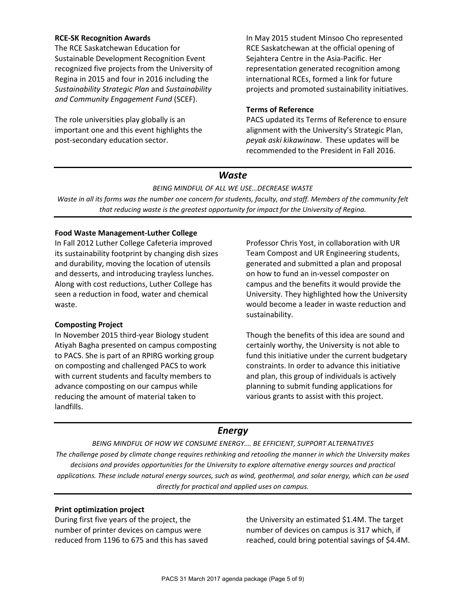# **RCE-SK Recognition Awards**

The RCE Saskatchewan Education for Sustainable Development Recognition Event recognized five projects from the University of Regina in 2015 and four in 2016 including the *Sustainability Strategic Plan* and *Sustainability and Community Engagement Fund* (SCEF).

The role universities play globally is an important one and this event highlights the post-secondary education sector.

In May 2015 student Minsoo Cho represented RCE Saskatchewan at the official opening of Sejahtera Centre in the Asia-Pacific. Her representation generated recognition among international RCEs, formed a link for future projects and promoted sustainability initiatives.

# **Terms of Reference**

PACS updated its Terms of Reference to ensure alignment with the University's Strategic Plan, *peyak aski kikawinaw*. These updates will be recommended to the President in Fall 2016.

# *Waste*

*BEING MINDFUL OF ALL WE USE…DECREASE WASTE*

*Waste in all its forms was the number one concern for students, faculty, and staff. Members of the community felt that reducing waste is the greatest opportunity for impact for the University of Regina.*

# **Food Waste Management-Luther College**

In Fall 2012 Luther College Cafeteria improved its sustainability footprint by changing dish sizes and durability, moving the location of utensils and desserts, and introducing trayless lunches. Along with cost reductions, Luther College has seen a reduction in food, water and chemical waste.

# **Composting Project**

In November 2015 third-year Biology student Atiyah Bagha presented on campus composting to PACS. She is part of an RPIRG working group on composting and challenged PACS to work with current students and faculty members to advance composting on our campus while reducing the amount of material taken to landfills.

Professor Chris Yost, in collaboration with UR Team Compost and UR Engineering students, generated and submitted a plan and proposal on how to fund an in-vessel composter on campus and the benefits it would provide the University. They highlighted how the University would become a leader in waste reduction and sustainability.

Though the benefits of this idea are sound and certainly worthy, the University is not able to fund this initiative under the current budgetary constraints. In order to advance this initiative and plan, this group of individuals is actively planning to submit funding applications for various grants to assist with this project.

# *Energy*

*BEING MINDFUL OF HOW WE CONSUME ENERGY…. BE EFFICIENT, SUPPORT ALTERNATIVES The challenge posed by climate change requires rethinking and retooling the manner in which the University makes decisions and provides opportunities for the University to explore alternative energy sources and practical applications. These include natural energy sources, such as wind, geothermal, and solar energy, which can be used directly for practical and applied uses on campus.*

# **Print optimization project**

During first five years of the project, the number of printer devices on campus were reduced from 1196 to 675 and this has saved the University an estimated \$1.4M. The target number of devices on campus is 317 which, if reached, could bring potential savings of \$4.4M.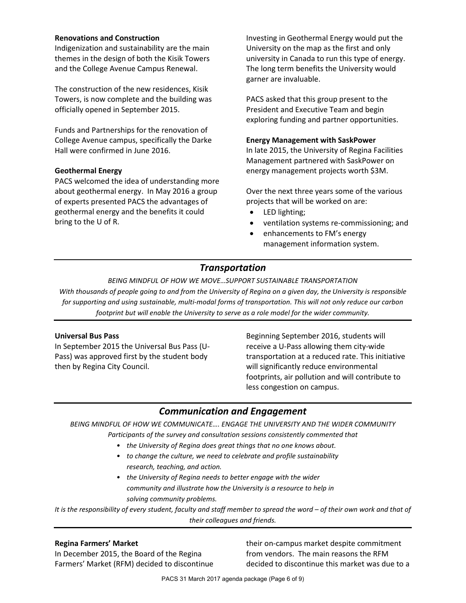# **Renovations and Construction**

Indigenization and sustainability are the main themes in the design of both the Kisik Towers and the College Avenue Campus Renewal.

The construction of the new residences, Kisik Towers, is now complete and the building was officially opened in September 2015.

Funds and Partnerships for the renovation of College Avenue campus, specifically the Darke Hall were confirmed in June 2016.

# **Geothermal Energy**

PACS welcomed the idea of understanding more about geothermal energy. In May 2016 a group of experts presented PACS the advantages of geothermal energy and the benefits it could bring to the U of R.

Investing in Geothermal Energy would put the University on the map as the first and only university in Canada to run this type of energy. The long term benefits the University would garner are invaluable.

PACS asked that this group present to the President and Executive Team and begin exploring funding and partner opportunities.

## **Energy Management with SaskPower**

In late 2015, the University of Regina Facilities Management partnered with SaskPower on energy management projects worth \$3M.

Over the next three years some of the various projects that will be worked on are:

- LED lighting;
- ventilation systems re-commissioning; and
- enhancements to FM's energy management information system.

# *Transportation*

*BEING MINDFUL OF HOW WE MOVE…SUPPORT SUSTAINABLE TRANSPORTATION With thousands of people going to and from the University of Regina on a given day, the University is responsible for supporting and using sustainable, multi-modal forms of transportation. This will not only reduce our carbon footprint but will enable the University to serve as a role model for the wider community.*

## **Universal Bus Pass**

In September 2015 the Universal Bus Pass (U-Pass) was approved first by the student body then by Regina City Council.

Beginning September 2016, students will receive a U-Pass allowing them city-wide transportation at a reduced rate. This initiative will significantly reduce environmental footprints, air pollution and will contribute to less congestion on campus.

# *Communication and Engagement*

*BEING MINDFUL OF HOW WE COMMUNICATE…. ENGAGE THE UNIVERSITY AND THE WIDER COMMUNITY Participants of the survey and consultation sessions consistently commented that*

- *the University of Regina does great things that no one knows about.*
- *to change the culture, we need to celebrate and profile sustainability research, teaching, and action.*
- *the University of Regina needs to better engage with the wider community and illustrate how the University is a resource to help in solving community problems.*

*It is the responsibility of every student, faculty and staff member to spread the word – of their own work and that of their colleagues and friends.*

## **Regina Farmers' Market**

In December 2015, the Board of the Regina Farmers' Market (RFM) decided to discontinue their on-campus market despite commitment from vendors. The main reasons the RFM decided to discontinue this market was due to a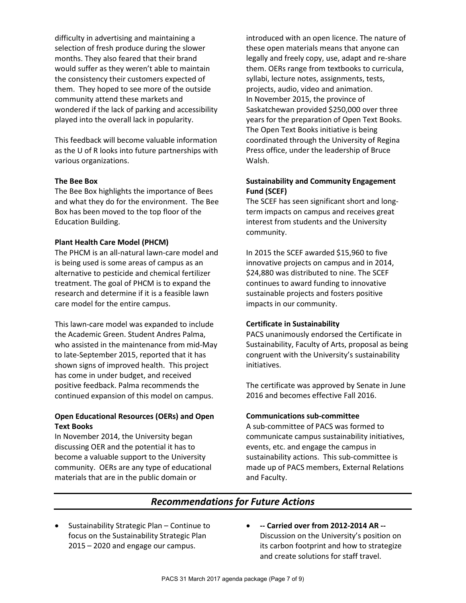difficulty in advertising and maintaining a selection of fresh produce during the slower months. They also feared that their brand would suffer as they weren't able to maintain the consistency their customers expected of them. They hoped to see more of the outside community attend these markets and wondered if the lack of parking and accessibility played into the overall lack in popularity.

This feedback will become valuable information as the U of R looks into future partnerships with various organizations.

## **The Bee Box**

The Bee Box highlights the importance of Bees and what they do for the environment. The Bee Box has been moved to the top floor of the Education Building.

# **Plant Health Care Model (PHCM)**

The PHCM is an all-natural lawn-care model and is being used is some areas of campus as an alternative to pesticide and chemical fertilizer treatment. The goal of PHCM is to expand the research and determine if it is a feasible lawn care model for the entire campus.

This lawn-care model was expanded to include the Academic Green. Student Andres Palma, who assisted in the maintenance from mid-May to late-September 2015, reported that it has shown signs of improved health. This project has come in under budget, and received positive feedback. Palma recommends the continued expansion of this model on campus.

# **Open Educational Resources (OERs) and Open Text Books**

In November 2014, the University began discussing OER and the potential it has to become a valuable support to the University community. OERs are any type of educational materials that are in the public domain or

introduced with an open licence. The nature of these open materials means that anyone can legally and freely copy, use, adapt and re-share them. OERs range from textbooks to curricula, syllabi, lecture notes, assignments, tests, projects, audio, video and animation. In November 2015, the province of Saskatchewan provided \$250,000 over three years for the preparation of Open Text Books. The Open Text Books initiative is being coordinated through the University of Regina Press office, under the leadership of Bruce Walsh.

# **Sustainability and Community Engagement Fund (SCEF)**

The SCEF has seen significant short and longterm impacts on campus and receives great interest from students and the University community.

In 2015 the SCEF awarded \$15,960 to five innovative projects on campus and in 2014, \$24,880 was distributed to nine. The SCEF continues to award funding to innovative sustainable projects and fosters positive impacts in our community.

# **Certificate in Sustainability**

PACS unanimously endorsed the Certificate in Sustainability, Faculty of Arts, proposal as being congruent with the University's sustainability initiatives.

The certificate was approved by Senate in June 2016 and becomes effective Fall 2016.

## **Communications sub-committee**

A sub-committee of PACS was formed to communicate campus sustainability initiatives, events, etc. and engage the campus in sustainability actions. This sub-committee is made up of PACS members, External Relations and Faculty.

# *Recommendations for Future Actions*

- Sustainability Strategic Plan Continue to focus on the Sustainability Strategic Plan 2015 – 2020 and engage our campus.
- **-- Carried over from 2012-2014 AR --** Discussion on the University's position on its carbon footprint and how to strategize and create solutions for staff travel.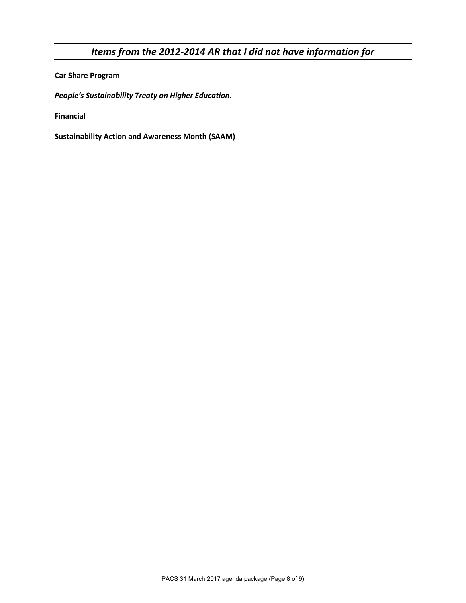# *Items from the 2012-2014 AR that I did not have information for*

**Car Share Program**

*People's Sustainability Treaty on Higher Education.* 

**Financial**

**Sustainability Action and Awareness Month (SAAM)**